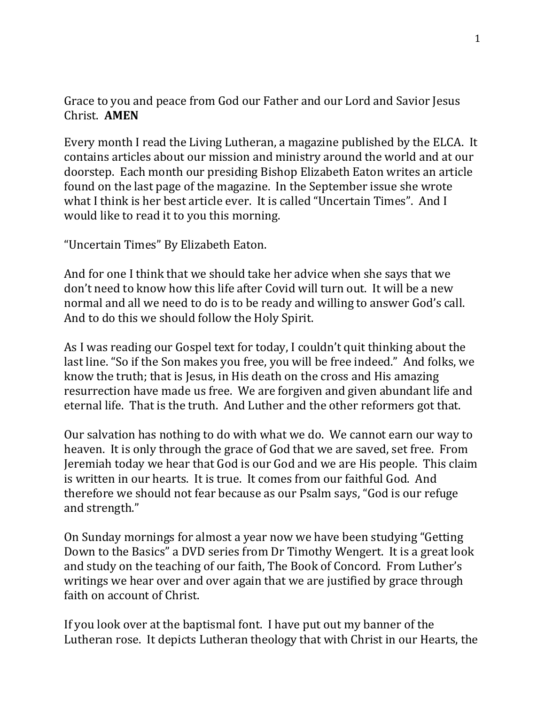## Grace to you and peace from God our Father and our Lord and Savior Jesus Christ. **AMEN**

Every month I read the Living Lutheran, a magazine published by the ELCA. It contains articles about our mission and ministry around the world and at our doorstep. Each month our presiding Bishop Elizabeth Eaton writes an article found on the last page of the magazine. In the September issue she wrote what I think is her best article ever. It is called "Uncertain Times". And I would like to read it to you this morning.

"Uncertain Times" By Elizabeth Eaton.

And for one I think that we should take her advice when she says that we don't need to know how this life after Covid will turn out. It will be a new normal and all we need to do is to be ready and willing to answer God's call. And to do this we should follow the Holy Spirit.

As I was reading our Gospel text for today, I couldn't quit thinking about the last line. "So if the Son makes you free, you will be free indeed." And folks, we know the truth; that is Jesus, in His death on the cross and His amazing resurrection have made us free. We are forgiven and given abundant life and eternal life. That is the truth. And Luther and the other reformers got that.

Our salvation has nothing to do with what we do. We cannot earn our way to heaven. It is only through the grace of God that we are saved, set free. From Jeremiah today we hear that God is our God and we are His people. This claim is written in our hearts. It is true. It comes from our faithful God. And therefore we should not fear because as our Psalm says, "God is our refuge and strength."

On Sunday mornings for almost a year now we have been studying "Getting Down to the Basics" a DVD series from Dr Timothy Wengert. It is a great look and study on the teaching of our faith, The Book of Concord. From Luther's writings we hear over and over again that we are justified by grace through faith on account of Christ.

If you look over at the baptismal font. I have put out my banner of the Lutheran rose. It depicts Lutheran theology that with Christ in our Hearts, the